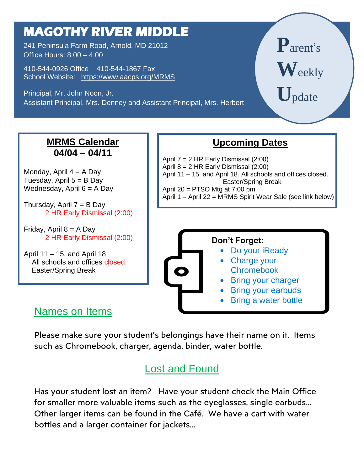# **MAGOTHY RIVER MIDDLE**

241 Peninsula Farm Road, Arnold, MD 21012 Office Hours: 8:00 – 4:00

410-544-0926 Office 410-544-1867 Fax School Website: <https://www.aacps.org/MRMS>

 Assistant Principal, Mrs. Denney and Assistant Principal, Mrs. Herbert Principal, Mr. John Noon, Jr.

**P**arent' s **W**eekly **U**pdate

# **MRMS Calendar 04/04 – 04/11**

Monday, April  $4 = A$  Day Tuesday, April  $5 = B$  Day Wednesday, April  $6 = A$  Day

Thursday, April  $7 = B$  Day 2 HR Early Dismissal (2:00)

Friday, April  $8 = A$  Day 2 HR Early Dismissal (2:00)

April 11 – 15, and April 18 All schools and offices closed. Easter/Spring Break

# **Upcoming Dates**

 April 7 = 2 HR Early Dismissal (2:00) April 8 = 2 HR Early Dismissal (2:00) April 11 – 15, and April 18. All schools and offices closed. Easter/Spring Break April  $20 = PTSO$  Mtg at  $7:00$  pm April 1 – April 22 = MRMS Spirit Wear Sale (see link below)





- Charge your **Chromebook**
- Bring your charger
- Bring your earbuds
- Bring a water bottle

## Names on Items

Please make sure your student's belongings have their name on it. Items such as Chromebook, charger, agenda, binder, water bottle.

# Lost and Found

Has your student lost an item? Have your student check the Main Office for smaller more valuable items such as the eyeglasses, single earbuds... Other larger items can be found in the Café. We have a cart with water bottles and a larger container for jackets…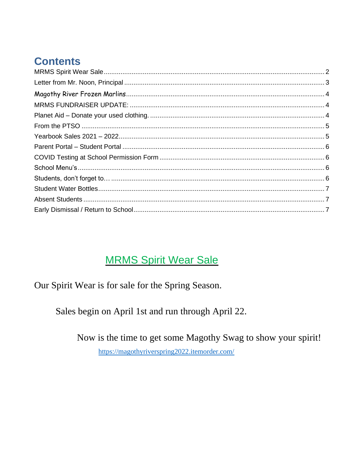# **Contents**

# **MRMS Spirit Wear Sale**

<span id="page-1-0"></span>Our Spirit Wear is for sale for the Spring Season.

Sales begin on April 1st and run through April 22.

Now is the time to get some Magothy Swag to show your spirit!

https://magothyriverspring2022.itemorder.com/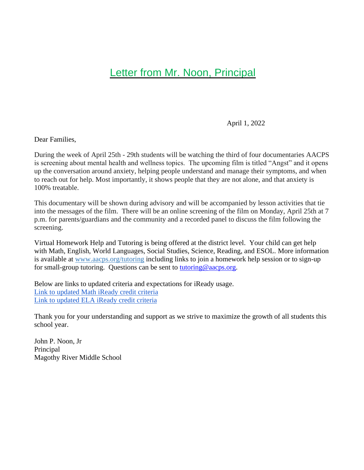#### <span id="page-2-0"></span>**[Letter from Mr. Noon, Principal](https://docs.google.com/document/d/15wh6ySu2P_ZUVFYWgXQKnQ7CdEiDdRwl/edit)**

April 1, 2022

Dear Families,

During the week of April 25th - 29th students will be watching the third of four documentaries AACPS is screening about mental health and wellness topics. The upcoming film is titled "Angst" and it opens up the conversation around anxiety, helping people understand and manage their symptoms, and when to reach out for help. Most importantly, it shows people that they are not alone, and that anxiety is 100% treatable.

This documentary will be shown during advisory and will be accompanied by lesson activities that tie into the messages of the film. There will be an online screening of the film on Monday, April 25th at 7 p.m. for parents/guardians and the community and a recorded panel to discuss the film following the screening.

Virtual Homework Help and Tutoring is being offered at the district level. Your child can get help with Math, English, World Languages, Social Studies, Science, Reading, and ESOL. More information is available at [www.aacps.org/tutoring](https://nam12.safelinks.protection.outlook.com/?url=https%3A%2F%2Fwww.aacps.org%2Ftutoring&data=04%7C01%7Cjnoon%40aacps.org%7Ca5a0479dc9c444e1c16908d97a2a62f4%7Cb7d27e93356b4ad88a7089c35df207c0%7C0%7C0%7C637675144745793110%7CUnknown%7CTWFpbGZsb3d8eyJWIjoiMC4wLjAwMDAiLCJQIjoiV2luMzIiLCJBTiI6Ik1haWwiLCJXVCI6Mn0%3D%7C1000&sdata=FXrfhlyKB0UDL7htgO9%2F%2FYRgepX%2Bqhw0zZKlPSpB4cM%3D&reserved=0) including links to join a homework help session or to sign-up for small-group tutoring. Questions can be sent to [tutoring@aacps.org.](mailto:tutoring@aacps.org)

Below are links to updated criteria and expectations for iReady usage. [Link to updated Math iReady credit criteria](https://docs.google.com/document/d/1jBhwuRorUt7Dmuhhagetawd9ETSMtjTkm5QwlHUkhtY/edit?usp=sharing) [Link to updated ELA iReady credit criteria](https://docs.google.com/document/d/1QySIX_0Ge1vQN7h582IdD7CvXqk8_Ck1116alu-msxs/edit?usp=sharing) 

Thank you for your understanding and support as we strive to maximize the growth of all students this school year.

John P. Noon, Jr Principal Magothy River Middle School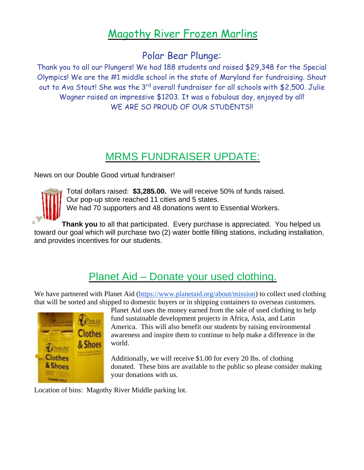# Magothy River Frozen Marlins

#### Polar Bear Plunge:

<span id="page-3-0"></span>Thank you to all our Plungers! We had 188 students and raised \$29,348 for the Special Olympics! We are the #1 middle school in the state of Maryland for fundraising. Shout out to Ava Stout! She was the 3<sup>rd</sup> overall fundraiser for all schools with \$2,500. Julie Wagner raised an impressive \$1203. It was a fabulous day, enjoyed by all! WE ARE SO PROUD OF OUR STUDENTS!!

# MRMS FUNDRAISER UPDATE:

<span id="page-3-1"></span>News on our Double Good virtual fundraiser!



Total dollars raised: **\$3,285.00.** We will receive 50% of funds raised. Our pop-up store reached 11 cities and 5 states. We had 70 supporters and 48 donations went to Essential Workers.

**Thank you** to all that participated. Every purchase is appreciated. You helped us toward our goal which will purchase two (2) water bottle filling stations, including installation, and provides incentives for our students.

# Planet Aid – Donate your used clothing.

<span id="page-3-2"></span>We have partnered with Planet Aid [\(https://www.planetaid.org/about/mission\)](https://www.planetaid.org/about/mission) to collect used clothing that will be sorted and shipped to domestic buyers or in shipping containers to overseas customers.



Planet Aid uses the money earned from the sale of used clothing to help fund sustainable development projects in Africa, Asia, and Latin America. This will also benefit our students by raising environmental awareness and inspire them to continue to help make a difference in the world.

Additionally, we will receive \$1.00 for every 20 lbs. of clothing donated. These bins are available to the public so please consider making your donations with us.

Location of bins: Magothy River Middle parking lot.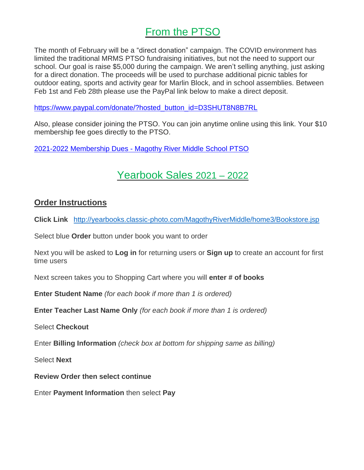### From the PTSO

<span id="page-4-0"></span>The month of February will be a "direct donation" campaign. The COVID environment has limited the traditional MRMS PTSO fundraising initiatives, but not the need to support our school. Our goal is raise \$5,000 during the campaign. We aren't selling anything, just asking for a direct donation. The proceeds will be used to purchase additional picnic tables for outdoor eating, sports and activity gear for Marlin Block, and in school assemblies. Between Feb 1st and Feb 28th please use the PayPal link below to make a direct deposit.

[https://www.paypal.com/donate/?hosted\\_button\\_id=D3SHUT8N8B7RL](https://nam12.safelinks.protection.outlook.com/?url=https%3A%2F%2Fwww.paypal.com%2Fdonate%2F%3Fhosted_button_id%3DD3SHUT8N8B7RL&data=04%7C01%7CKRIFIELD%40AACPS.org%7Cca96eca8f6e8443d76a308d9e4e1a268%7Cb7d27e93356b4ad88a7089c35df207c0%7C0%7C0%7C637792480007122900%7CUnknown%7CTWFpbGZsb3d8eyJWIjoiMC4wLjAwMDAiLCJQIjoiV2luMzIiLCJBTiI6Ik1haWwiLCJXVCI6Mn0%3D%7C3000&sdata=g%2Bbb8ajGLN58RXQpncWGGTW578a83CvyTmmf6DWdd78%3D&reserved=0)

Also, please consider joining the PTSO. You can join anytime online using this link. Your \$10 membership fee goes directly to the PTSO.

<span id="page-4-1"></span>2021-2022 [Membership](https://nam12.safelinks.protection.outlook.com/?url=https%3A%2F%2Fmrmsptso.org%2Fproduct%2Fmembership%2F&data=04%7C01%7CKRIFIELD%40AACPS.org%7Cca96eca8f6e8443d76a308d9e4e1a268%7Cb7d27e93356b4ad88a7089c35df207c0%7C0%7C0%7C637792480007122900%7CUnknown%7CTWFpbGZsb3d8eyJWIjoiMC4wLjAwMDAiLCJQIjoiV2luMzIiLCJBTiI6Ik1haWwiLCJXVCI6Mn0%3D%7C3000&sdata=1Zz%2FX2Tle%2FQxA5obiA2gcIgIVKLSQQ%2FRjF9dAziCGWQ%3D&reserved=0) Dues - Magothy River Middle School PTSO

# Yearbook Sales 2021 – 2022

#### **Order Instructions**

**Click Link** <http://yearbooks.classic-photo.com/MagothyRiverMiddle/home3/Bookstore.jsp>

Select blue **Order** button under book you want to order

Next you will be asked to **Log in** for returning users or **Sign up** to create an account for first time users

Next screen takes you to Shopping Cart where you will **enter # of books**

**Enter Student Name** *(for each book if more than 1 is ordered)*

**Enter Teacher Last Name Only** *(for each book if more than 1 is ordered)*

Select **Checkout**

Enter **Billing Information** *(check box at bottom for shipping same as billing)*

Select **Next**

**Review Order then select continue**

Enter **Payment Information** then select **Pay**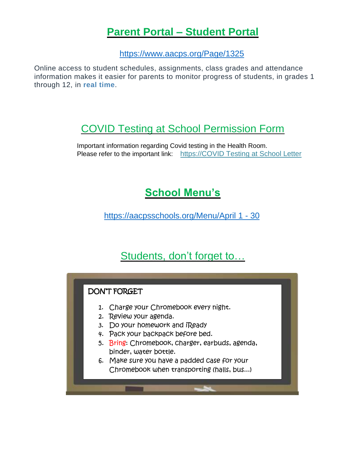### **Parent Portal – Student Portal**

<https://www.aacps.org/Page/1325>

<span id="page-5-0"></span>Online access to student schedules, assignments, class grades and attendance information makes it easier for parents to monitor progress of students, in grades 1 through 12, in **real time**.

## <span id="page-5-1"></span>[COVID Testing at School Permission Form](file:///C:/Users/krifield/Downloads/COVID%20Testing%20in%20School%20Permission%20Form.pdf)

<span id="page-5-2"></span>Important information regarding Covid testing in the Health Room. Please refer to the important link: [https://COVID Testing at School Letter](https://docs.google.com/document/d/16S7Cl8Wy6pR-7fgni-ZcM4fx5W9QVPO4/edit)

# **School Menu's**

[https://aacpsschools.org/Menu/April 1 -](https://aacpsschools.org/nutrition/apr22/) 30

# Students, don't forget to…

<span id="page-5-3"></span>